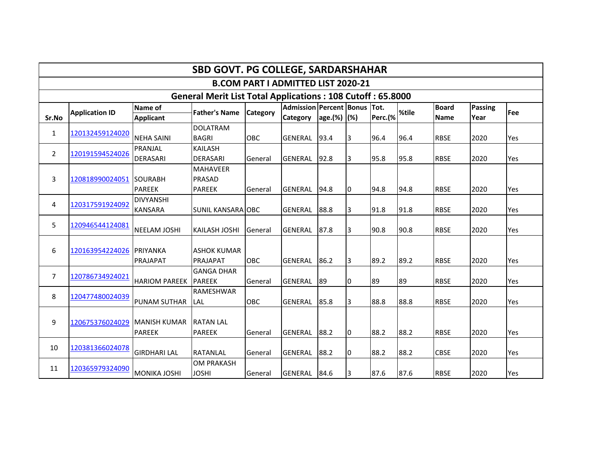|                                                                   | <b>SBD GOVT. PG COLLEGE, SARDARSHAHAR</b> |                                       |                                                   |            |                                                 |             |    |         |       |                             |                        |            |  |  |
|-------------------------------------------------------------------|-------------------------------------------|---------------------------------------|---------------------------------------------------|------------|-------------------------------------------------|-------------|----|---------|-------|-----------------------------|------------------------|------------|--|--|
|                                                                   |                                           |                                       |                                                   |            | <b>B.COM PART I ADMITTED LIST 2020-21</b>       |             |    |         |       |                             |                        |            |  |  |
| <b>General Merit List Total Applications: 108 Cutoff: 65.8000</b> |                                           |                                       |                                                   |            |                                                 |             |    |         |       |                             |                        |            |  |  |
| Sr.No                                                             | <b>Application ID</b>                     | Name of<br><b>Applicant</b>           | <b>Father's Name</b>                              | Category   | Admission Percent Bonus Tot.<br><b>Category</b> | age.(%) (%) |    | Perc.(% | %tile | <b>Board</b><br><b>Name</b> | <b>Passing</b><br>Year | <b>Fee</b> |  |  |
| $\mathbf{1}$                                                      | 120132459124020                           | <b>NEHA SAINI</b>                     | <b>DOLATRAM</b><br><b>BAGRI</b>                   | <b>OBC</b> | GENERAL                                         | 93.4        | 3  | 96.4    | 96.4  | <b>RBSE</b>                 | 2020                   | Yes        |  |  |
| $\overline{2}$                                                    | 120191594524026                           | PRANJAL<br><b>DERASARI</b>            | <b>KAILASH</b><br><b>DERASARI</b>                 | General    | GENERAL                                         | 92.8        | 3  | 95.8    | 95.8  | <b>RBSE</b>                 | 2020                   | Yes        |  |  |
| 3                                                                 | 120818990024051 SOURABH                   | <b>PAREEK</b>                         | <b>MAHAVEER</b><br><b>PRASAD</b><br><b>PAREEK</b> | General    | <b>GENERAL</b>                                  | 94.8        | Iо | 94.8    | 94.8  | <b>RBSE</b>                 | 2020                   | Yes        |  |  |
| 4                                                                 | 120317591924092                           | <b>DIVYANSHI</b><br><b>KANSARA</b>    | <b>SUNIL KANSARA OBC</b>                          |            | GENERAL                                         | 88.8        | 3  | 91.8    | 91.8  | <b>RBSE</b>                 | 2020                   | Yes        |  |  |
| 5                                                                 | 120946544124081                           | <b>NEELAM JOSHI</b>                   | <b>KAILASH JOSHI</b>                              | General    | <b>GENERAL</b>                                  | 87.8        | 3  | 90.8    | 90.8  | <b>RBSE</b>                 | 2020                   | Yes        |  |  |
| 6                                                                 | 120163954224026                           | <b>PRIYANKA</b><br>PRAJAPAT           | <b>ASHOK KUMAR</b><br>PRAJAPAT                    | OBC        | <b>GENERAL</b>                                  | 86.2        | Iз | 89.2    | 89.2  | <b>RBSE</b>                 | 2020                   | Yes        |  |  |
| $\overline{7}$                                                    | 120786734924021                           | <b>HARIOM PAREEK</b>                  | <b>GANGA DHAR</b><br><b>PAREEK</b>                | General    | <b>GENERAL</b>                                  | 89          | O  | 89      | 89    | <b>RBSE</b>                 | 2020                   | Yes        |  |  |
| 8                                                                 | 120477480024039                           | <b>PUNAM SUTHAR</b>                   | <b>RAMESHWAR</b><br><b>LAL</b>                    | OBC        | <b>GENERAL</b>                                  | 85.8        | l3 | 88.8    | 88.8  | <b>RBSE</b>                 | 2020                   | Yes        |  |  |
| 9                                                                 | 120675376024029                           | <b>IMANISH KUMAR</b><br><b>PAREEK</b> | <b>RATAN LAL</b><br><b>PAREEK</b>                 | General    | <b>GENERAL</b>                                  | 88.2        | 10 | 88.2    | 88.2  | <b>RBSE</b>                 | 2020                   | Yes        |  |  |
| 10                                                                | 120381366024078                           | <b>GIRDHARI LAL</b>                   | <b>RATANLAL</b>                                   | General    | <b>GENERAL</b>                                  | 88.2        | 10 | 88.2    | 88.2  | <b>CBSE</b>                 | 2020                   | Yes        |  |  |
| 11                                                                | 120365979324090                           | <b>MONIKA JOSHI</b>                   | <b>OM PRAKASH</b><br><b>JOSHI</b>                 | General    | <b>GENERAL</b>                                  | 84.6        | I3 | 87.6    | 87.6  | <b>RBSE</b>                 | 2020                   | Yes        |  |  |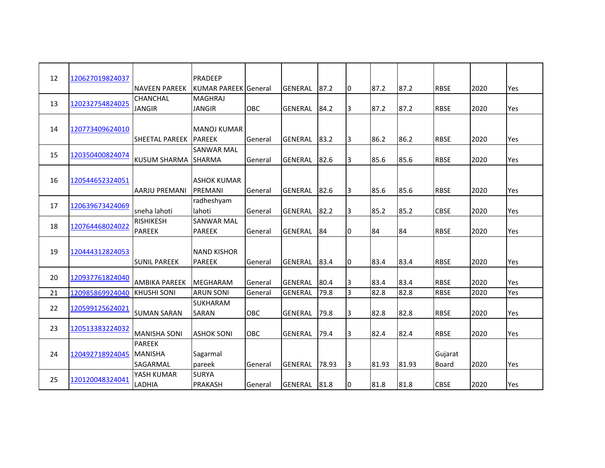| 12 |                 |                      | PRADEEP              |            |                |       |   |       |       |              |      |     |
|----|-----------------|----------------------|----------------------|------------|----------------|-------|---|-------|-------|--------------|------|-----|
|    | 120627019824037 |                      |                      |            |                |       |   |       |       |              |      |     |
|    |                 | <b>NAVEEN PAREEK</b> | KUMAR PAREEK General |            | GENERAL        | 87.2  | 0 | 87.2  | 87.2  | <b>RBSE</b>  | 2020 | Yes |
| 13 | 120232754824025 | CHANCHAL             | <b>MAGHRAJ</b>       |            |                |       |   |       |       |              |      |     |
|    |                 | <b>JANGIR</b>        | <b>JANGIR</b>        | <b>OBC</b> | <b>GENERAL</b> | 84.2  | 3 | 87.2  | 87.2  | <b>RBSE</b>  | 2020 | Yes |
|    |                 |                      |                      |            |                |       |   |       |       |              |      |     |
| 14 | 120773409624010 |                      | <b>MANOJ KUMAR</b>   |            |                |       |   |       |       |              |      |     |
|    |                 | SHEETAL PAREEK       | <b>PAREEK</b>        | General    | GENERAL        | 83.2  | 3 | 86.2  | 86.2  | <b>RBSE</b>  | 2020 | Yes |
|    |                 |                      | <b>SANWAR MAL</b>    |            |                |       |   |       |       |              |      |     |
| 15 | 120350400824074 | <b>KUSUM SHARMA</b>  | <b>SHARMA</b>        | General    | <b>GENERAL</b> | 82.6  | 3 | 85.6  | 85.6  | <b>RBSE</b>  | 2020 | Yes |
|    |                 |                      |                      |            |                |       |   |       |       |              |      |     |
| 16 | 120544652324051 |                      | <b>ASHOK KUMAR</b>   |            |                |       |   |       |       |              |      |     |
|    |                 | <b>AARJU PREMANI</b> | PREMANI              | General    | GENERAL        | 82.6  | 3 | 85.6  | 85.6  | <b>RBSE</b>  | 2020 | Yes |
|    |                 |                      | radheshyam           |            |                |       |   |       |       |              |      |     |
| 17 | 120639673424069 | sneha lahoti         | lahoti               | General    | GENERAL        | 82.2  | 3 | 85.2  | 85.2  | <b>CBSE</b>  | 2020 | Yes |
|    |                 |                      |                      |            |                |       |   |       |       |              |      |     |
| 18 | 120764468024022 | <b>RISHIKESH</b>     | <b>SANWAR MAL</b>    |            |                |       |   |       |       |              |      |     |
|    |                 | <b>PAREEK</b>        | <b>PAREEK</b>        | General    | <b>GENERAL</b> | 84    | 0 | 84    | 84    | <b>RBSE</b>  | 2020 | Yes |
|    |                 |                      |                      |            |                |       |   |       |       |              |      |     |
| 19 | 120444312824053 |                      | <b>NAND KISHOR</b>   |            |                |       |   |       |       |              |      |     |
|    |                 | <b>SUNIL PAREEK</b>  | <b>PAREEK</b>        | General    | <b>GENERAL</b> | 83.4  | 0 | 83.4  | 83.4  | <b>RBSE</b>  | 2020 | Yes |
| 20 | 120937761824040 |                      |                      |            |                |       |   |       |       |              |      |     |
|    |                 | <b>AMBIKA PAREEK</b> | <b>MEGHARAM</b>      | General    | <b>GENERAL</b> | 80.4  | 3 | 83.4  | 83.4  | <b>RBSE</b>  | 2020 | Yes |
| 21 | 120985869924040 | <b>KHUSHI SONI</b>   | <b>ARUN SONI</b>     | General    | <b>GENERAL</b> | 79.8  | 3 | 82.8  | 82.8  | <b>RBSE</b>  | 2020 | Yes |
|    |                 |                      | SUKHARAM             |            |                |       |   |       |       |              |      |     |
| 22 | 120599125624021 | <b>SUMAN SARAN</b>   | SARAN                | OBC        | GENERAL        | 79.8  | 3 | 82.8  | 82.8  | <b>RBSE</b>  | 2020 | Yes |
|    |                 |                      |                      |            |                |       |   |       |       |              |      |     |
| 23 | 120513383224032 | <b>MANISHA SONI</b>  | <b>ASHOK SONI</b>    | <b>OBC</b> | GENERAL        | 79.4  | 3 | 82.4  | 82.4  | <b>RBSE</b>  | 2020 | Yes |
|    |                 | <b>PAREEK</b>        |                      |            |                |       |   |       |       |              |      |     |
| 24 | 120492718924045 | <b>MANISHA</b>       | Sagarmal             |            |                |       |   |       |       | Gujarat      |      |     |
|    |                 |                      |                      |            |                |       |   |       |       |              |      |     |
|    |                 | SAGARMAL             | pareek               | General    | GENERAL        | 78.93 | 3 | 81.93 | 81.93 | <b>Board</b> | 2020 | Yes |
| 25 | 120120048324041 | YASH KUMAR           | <b>SURYA</b>         |            |                |       |   |       |       |              |      |     |
|    |                 | LADHIA               | <b>PRAKASH</b>       | General    | GENERAL        | 81.8  | 0 | 81.8  | 81.8  | <b>CBSE</b>  | 2020 | Yes |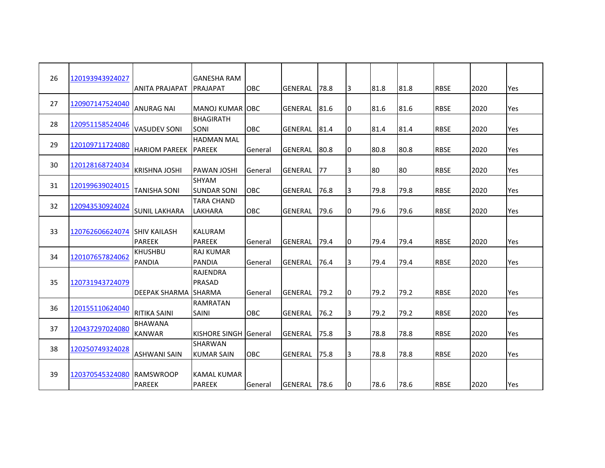| 26 | 120193943924027 |                                      | <b>GANESHA RAM</b>                         |                |                |       |    |      |      |             |      |     |
|----|-----------------|--------------------------------------|--------------------------------------------|----------------|----------------|-------|----|------|------|-------------|------|-----|
|    |                 | <b>ANITA PRAJAPAT</b>                | PRAJAPAT                                   | OBC            | GENERAL        | 78.8  | 3  | 81.8 | 81.8 | <b>RBSE</b> | 2020 | Yes |
| 27 | 120907147524040 | <b>ANURAG NAI</b>                    | <b>MANOJ KUMAR OBC</b>                     |                | <b>GENERAL</b> | 81.6  | 0  | 81.6 | 81.6 | <b>RBSE</b> | 2020 | Yes |
| 28 | 120951158524046 | <b>VASUDEV SONI</b>                  | <b>BHAGIRATH</b><br><b>SONI</b>            | <b>OBC</b>     | <b>GENERAL</b> | 81.4  | 0  | 81.4 | 81.4 | <b>RBSE</b> | 2020 | Yes |
| 29 | 120109711724080 | <b>HARIOM PAREEK</b>                 | <b>HADMAN MAL</b><br><b>PAREEK</b>         | General        | GENERAL        | 80.8  | 0  | 80.8 | 80.8 | <b>RBSE</b> | 2020 | Yes |
| 30 | 120128168724034 | <b>KRISHNA JOSHI</b>                 | <b>PAWAN JOSHI</b>                         | General        | <b>GENERAL</b> | 77    | 3  | 80   | 80   | <b>RBSE</b> | 2020 | Yes |
| 31 | 120199639024015 | <b>TANISHA SONI</b>                  | <b>SHYAM</b><br><b>SUNDAR SONI</b>         | <b>OBC</b>     | <b>GENERAL</b> | 76.8  | 3  | 79.8 | 79.8 | <b>RBSE</b> | 2020 | Yes |
| 32 | 120943530924024 | <b>SUNIL LAKHARA</b>                 | <b>TARA CHAND</b><br>LAKHARA               | OBC            | <b>GENERAL</b> | 79.6  | 0  | 79.6 | 79.6 | <b>RBSE</b> | 2020 | Yes |
| 33 | 120762606624074 | <b>SHIV KAILASH</b><br><b>PAREEK</b> | <b>KALURAM</b><br><b>PAREEK</b>            | General        | <b>GENERAL</b> | 79.4  | 0  | 79.4 | 79.4 | <b>RBSE</b> | 2020 | Yes |
| 34 | 120107657824062 | <b>KHUSHBU</b><br>PANDIA             | <b>RAJ KUMAR</b><br><b>PANDIA</b>          | General        | <b>GENERAL</b> | 76.4  | 3  | 79.4 | 79.4 | <b>RBSE</b> | 2020 | Yes |
| 35 | 120731943724079 | <b>DEEPAK SHARMA</b>                 | <b>RAJENDRA</b><br>PRASAD<br><b>SHARMA</b> | General        | <b>GENERAL</b> | 79.2  | O  | 79.2 | 79.2 | <b>RBSE</b> | 2020 | Yes |
| 36 | 120155110624040 | <b>RITIKA SAINI</b>                  | <b>RAMRATAN</b><br>SAINI                   | <b>OBC</b>     | <b>GENERAL</b> | 76.2  | 3  | 79.2 | 79.2 | <b>RBSE</b> | 2020 | Yes |
| 37 | 120437297024080 | <b>BHAWANA</b><br><b>KANWAR</b>      | KISHORE SINGH                              | <b>General</b> | <b>GENERAL</b> | 75.8  | 3  | 78.8 | 78.8 | <b>RBSE</b> | 2020 | Yes |
| 38 | 120250749324028 | ASHWANI SAIN                         | SHARWAN<br><b>KUMAR SAIN</b>               | <b>OBC</b>     | <b>GENERAL</b> | 75.8  | 3  | 78.8 | 78.8 | <b>RBSE</b> | 2020 | Yes |
| 39 | 120370545324080 | <b>RAMSWROOP</b><br><b>PAREEK</b>    | <b>KAMAL KUMAR</b><br><b>PAREEK</b>        | General        | GENERAL        | 178.6 | 10 | 78.6 | 78.6 | <b>RBSE</b> | 2020 | Yes |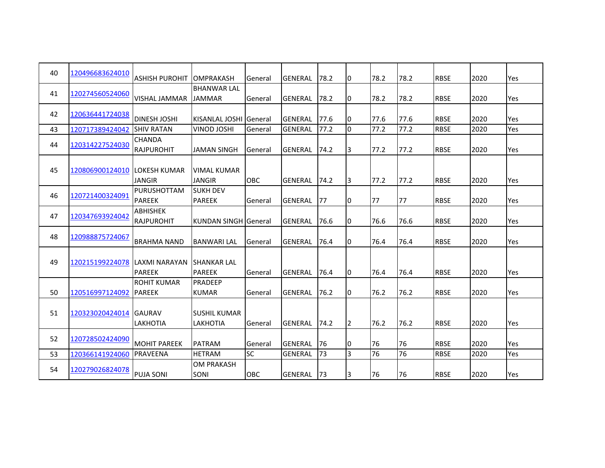| 40 | 120496683624010               | <b>ASHISH PUROHIT</b>        | <b>OMPRAKASH</b>                 | General    | <b>GENERAL</b> | 78.2 | IО | 78.2 | 78.2 | <b>RBSE</b> | 2020 | Yes |
|----|-------------------------------|------------------------------|----------------------------------|------------|----------------|------|----|------|------|-------------|------|-----|
|    |                               |                              | <b>BHANWAR LAL</b>               |            |                |      |    |      |      |             |      |     |
| 41 | 120274560524060               | <b>VISHAL JAMMAR</b>         | <b>JAMMAR</b>                    | General    | <b>GENERAL</b> | 78.2 | 10 | 78.2 | 78.2 | <b>RBSE</b> | 2020 | Yes |
| 42 | 120636441724038               |                              |                                  |            |                |      |    |      |      |             |      |     |
|    |                               | <b>DINESH JOSHI</b>          | <b>KISANLAL JOSHI General</b>    |            | GENERAL        | 77.6 | 10 | 77.6 | 77.6 | <b>RBSE</b> | 2020 | Yes |
| 43 | 120717389424042               | <b>SHIV RATAN</b>            | VINOD JOSHI                      | General    | <b>GENERAL</b> | 77.2 | Iо | 77.2 | 77.2 | <b>RBSE</b> | 2020 | Yes |
| 44 | 120314227524030               | <b>CHANDA</b>                |                                  |            |                |      |    |      |      |             |      |     |
|    |                               | <b>RAJPUROHIT</b>            | <b>JAMAN SINGH</b>               | General    | <b>GENERAL</b> | 74.2 | 3  | 77.2 | 77.2 | <b>RBSE</b> | 2020 | Yes |
|    |                               |                              |                                  |            |                |      |    |      |      |             |      |     |
| 45 | 120806900124010               | <b>ILOKESH KUMAR</b>         | <b>VIMAL KUMAR</b>               |            |                |      |    |      |      |             |      |     |
|    |                               | JANGIR                       | <b>JANGIR</b>                    | <b>OBC</b> | <b>GENERAL</b> | 74.2 | 13 | 77.2 | 77.2 | <b>RBSE</b> | 2020 | Yes |
| 46 | 120721400324091               | PURUSHOTTAM<br><b>PAREEK</b> | <b>SUKH DEV</b><br><b>PAREEK</b> |            | <b>GENERAL</b> | 77   | I0 | 77   | 77   | <b>RBSE</b> | 2020 | Yes |
|    |                               | <b>ABHISHEK</b>              |                                  | General    |                |      |    |      |      |             |      |     |
| 47 | 120347693924042               | <b>RAJPUROHIT</b>            | <b>KUNDAN SINGH General</b>      |            | <b>GENERAL</b> | 76.6 | 10 | 76.6 | 76.6 | <b>RBSE</b> | 2020 | Yes |
|    |                               |                              |                                  |            |                |      |    |      |      |             |      |     |
| 48 | 120988875724067               | <b>BRAHMA NAND</b>           | <b>BANWARI LAL</b>               | General    | <b>GENERAL</b> | 76.4 | 10 | 76.4 | 76.4 | <b>RBSE</b> | 2020 | Yes |
|    |                               |                              |                                  |            |                |      |    |      |      |             |      |     |
| 49 | 120215199224078 LAXMI NARAYAN |                              | <b>SHANKAR LAL</b>               |            |                |      |    |      |      |             |      |     |
|    |                               | <b>PAREEK</b>                | <b>PAREEK</b>                    | General    | <b>GENERAL</b> | 76.4 | 10 | 76.4 | 76.4 | <b>RBSE</b> | 2020 | Yes |
|    |                               | <b>ROHIT KUMAR</b>           | PRADEEP                          |            |                |      |    |      |      |             |      |     |
| 50 | 120516997124092 PAREEK        |                              | <b>KUMAR</b>                     | General    | <b>GENERAL</b> | 76.2 | 10 | 76.2 | 76.2 | <b>RBSE</b> | 2020 | Yes |
|    |                               |                              |                                  |            |                |      |    |      |      |             |      |     |
| 51 | 120323020424014               | <b>IGAURAV</b>               | <b>SUSHIL KUMAR</b>              |            |                |      |    |      |      |             |      |     |
|    |                               | <b>LAKHOTIA</b>              | LAKHOTIA                         | General    | <b>GENERAL</b> | 74.2 | 12 | 76.2 | 76.2 | <b>RBSE</b> | 2020 | Yes |
| 52 | 120728502424090               |                              |                                  |            |                |      |    |      |      |             |      |     |
|    |                               | <b>MOHIT PAREEK</b>          | <b>PATRAM</b>                    | General    | <b>GENERAL</b> | 76   | 10 | 76   | 76   | <b>RBSE</b> | 2020 | Yes |
| 53 | 120366141924060               | <b>PRAVEENA</b>              | <b>HETRAM</b>                    | <b>SC</b>  | <b>GENERAL</b> | 73   | l3 | 76   | 76   | <b>RBSE</b> | 2020 | Yes |
| 54 | 120279026824078               |                              | <b>OM PRAKASH</b>                |            |                |      |    |      |      |             |      |     |
|    |                               | <b>PUJA SONI</b>             | SONI                             | OBC        | <b>GENERAL</b> | 173  | 13 | 76   | 76   | <b>RBSE</b> | 2020 | Yes |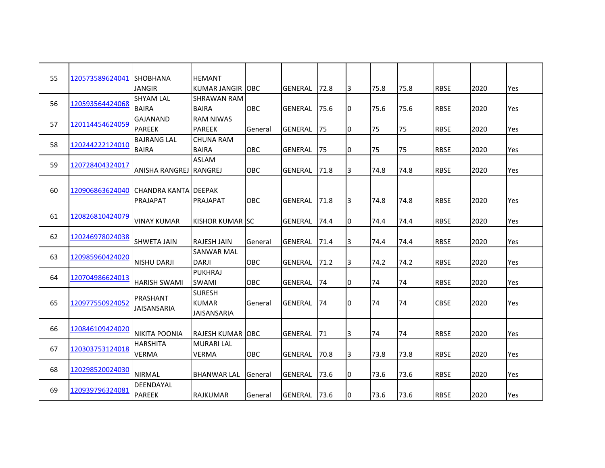| 55 | 120573589624041 | <b>SHOBHANA</b>        | <b>HEMANT</b>       |             |                |      |   |      |      |             |      |     |
|----|-----------------|------------------------|---------------------|-------------|----------------|------|---|------|------|-------------|------|-----|
|    |                 | <b>JANGIR</b>          | <b>KUMAR JANGIR</b> | <b>IOBC</b> | <b>GENERAL</b> | 72.8 | 3 | 75.8 | 75.8 | <b>RBSE</b> | 2020 | Yes |
|    |                 | <b>SHYAM LAL</b>       | <b>SHRAWAN RAM</b>  |             |                |      |   |      |      |             |      |     |
| 56 | 120593564424068 | <b>BAIRA</b>           | <b>BAIRA</b>        | OBC         | <b>GENERAL</b> | 75.6 | 0 | 75.6 | 75.6 | <b>RBSE</b> | 2020 | Yes |
|    |                 | GAJANAND               | <b>RAM NIWAS</b>    |             |                |      |   |      |      |             |      |     |
| 57 | 120114454624059 | <b>PAREEK</b>          | <b>PAREEK</b>       | General     | <b>GENERAL</b> | 75   | 0 | 75   | 75   | <b>RBSE</b> | 2020 | Yes |
|    |                 | <b>BAJRANG LAL</b>     | <b>CHUNA RAM</b>    |             |                |      |   |      |      |             |      |     |
| 58 | 120244222124010 | <b>BAIRA</b>           | <b>BAIRA</b>        | OBC         | <b>GENERAL</b> | 175  | 0 | 75   | 75   | <b>RBSE</b> | 2020 | Yes |
| 59 |                 |                        | <b>ASLAM</b>        |             |                |      |   |      |      |             |      |     |
|    | 120728404324017 | <b>ANISHA RANGREJ</b>  | <b>RANGREJ</b>      | <b>OBC</b>  | <b>GENERAL</b> | 71.8 | 3 | 74.8 | 74.8 | <b>RBSE</b> | 2020 | Yes |
|    |                 |                        |                     |             |                |      |   |      |      |             |      |     |
| 60 | 120906863624040 | ICHANDRA KANTA IDEEPAK |                     |             |                |      |   |      |      |             |      |     |
|    |                 | PRAJAPAT               | <b>PRAJAPAT</b>     | OBC         | <b>GENERAL</b> | 71.8 | 3 | 74.8 | 74.8 | <b>RBSE</b> | 2020 | Yes |
| 61 | 120826810424079 |                        |                     |             |                |      |   |      |      |             |      |     |
|    |                 | <b>VINAY KUMAR</b>     | KISHOR KUMAR ISC    |             | <b>GENERAL</b> | 74.4 | 0 | 74.4 | 74.4 | <b>RBSE</b> | 2020 | Yes |
| 62 | 120246978024038 |                        |                     |             |                |      |   |      |      |             |      |     |
|    |                 | <b>SHWETA JAIN</b>     | <b>RAJESH JAIN</b>  | General     | <b>GENERAL</b> | 71.4 | 3 | 74.4 | 74.4 | <b>RBSE</b> | 2020 | Yes |
| 63 | 120985960424020 |                        | <b>SANWAR MAL</b>   |             |                |      |   |      |      |             |      |     |
|    |                 | <b>NISHU DARJI</b>     | <b>DARJI</b>        | OBC         | <b>GENERAL</b> | 71.2 | 3 | 74.2 | 74.2 | <b>RBSE</b> | 2020 | Yes |
| 64 | 120704986624013 |                        | <b>PUKHRAJ</b>      |             |                |      |   |      |      |             |      |     |
|    |                 | <b>HARISH SWAMI</b>    | <b>SWAMI</b>        | OBC         | <b>GENERAL</b> | 74   | 0 | 74   | 74   | <b>RBSE</b> | 2020 | Yes |
|    |                 | PRASHANT               | <b>SURESH</b>       |             |                |      |   |      |      |             |      |     |
| 65 | 120977550924052 | JAISANSARIA            | <b>KUMAR</b>        | General     | <b>GENERAL</b> | 74   | 0 | 74   | 74   | <b>CBSE</b> | 2020 | Yes |
|    |                 |                        | <b>JAISANSARIA</b>  |             |                |      |   |      |      |             |      |     |
| 66 | 120846109424020 |                        |                     |             |                |      |   |      |      |             |      |     |
|    |                 | <b>NIKITA POONIA</b>   | <b>RAJESH KUMAR</b> | <b>IOBC</b> | <b>GENERAL</b> | 71   | 3 | 74   | 74   | <b>RBSE</b> | 2020 | Yes |
| 67 | 120303753124018 | <b>HARSHITA</b>        | <b>MURARI LAL</b>   |             |                |      |   |      |      |             |      |     |
|    |                 | <b>VERMA</b>           | <b>VERMA</b>        | OBC         | <b>GENERAL</b> | 70.8 | 3 | 73.8 | 73.8 | <b>RBSE</b> | 2020 | Yes |
| 68 | 120298520024030 |                        |                     |             |                |      |   |      |      |             |      |     |
|    |                 | <b>NIRMAL</b>          | <b>BHANWAR LAL</b>  | General     | <b>GENERAL</b> | 73.6 | 0 | 73.6 | 73.6 | <b>RBSE</b> | 2020 | Yes |
| 69 | 120939796324081 | DEENDAYAL              |                     |             |                |      |   |      |      |             |      |     |
|    |                 | <b>PAREEK</b>          | <b>RAJKUMAR</b>     | General     | <b>GENERAL</b> | 73.6 | 0 | 73.6 | 73.6 | <b>RBSE</b> | 2020 | Yes |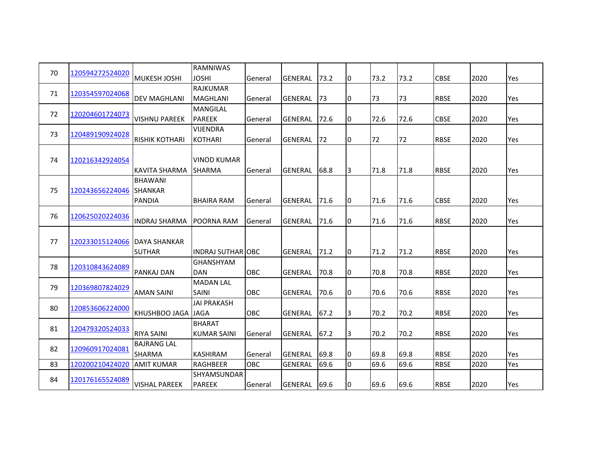| 70 | 120594272524020 |                       | <b>RAMNIWAS</b>                   |         |                |      |    |      |      |             |      |     |
|----|-----------------|-----------------------|-----------------------------------|---------|----------------|------|----|------|------|-------------|------|-----|
|    |                 | <b>MUKESH JOSHI</b>   | <b>JOSHI</b>                      | General | <b>GENERAL</b> | 73.2 | IО | 73.2 | 73.2 | <b>CBSE</b> | 2020 | Yes |
| 71 | 120354597024068 |                       | <b>RAJKUMAR</b>                   |         |                |      |    |      |      |             |      |     |
|    |                 | <b>DEV MAGHLANI</b>   | <b>MAGHLANI</b>                   | General | <b>GENERAL</b> | 173  | 10 | 73   | 73   | <b>RBSE</b> | 2020 | Yes |
| 72 | 120204601724073 |                       | MANGILAL                          |         |                |      |    |      |      |             |      |     |
|    |                 | <b>VISHNU PAREEK</b>  | <b>PAREEK</b>                     | General | <b>GENERAL</b> | 72.6 | 10 | 72.6 | 72.6 | <b>CBSE</b> | 2020 | Yes |
| 73 | 120489190924028 |                       | <b>VIJENDRA</b>                   |         |                |      |    |      |      |             |      |     |
|    |                 | <b>RISHIK KOTHARI</b> | <b>KOTHARI</b>                    | General | <b>GENERAL</b> | 72   | 10 | 72   | 72   | <b>RBSE</b> | 2020 | Yes |
|    |                 |                       |                                   |         |                |      |    |      |      |             |      |     |
| 74 | 120216342924054 |                       | <b>VINOD KUMAR</b>                |         |                |      |    |      |      |             |      |     |
|    |                 | <b>KAVITA SHARMA</b>  | <b>SHARMA</b>                     | General | <b>GENERAL</b> | 68.8 | Iз | 71.8 | 71.8 | <b>RBSE</b> | 2020 | Yes |
|    |                 | <b>BHAWANI</b>        |                                   |         |                |      |    |      |      |             |      |     |
| 75 | 120243656224046 | <b>SHANKAR</b>        |                                   |         |                |      |    |      |      |             |      |     |
|    |                 | <b>PANDIA</b>         | <b>BHAIRA RAM</b>                 | General | <b>GENERAL</b> | 71.6 | I0 | 71.6 | 71.6 | <b>CBSE</b> | 2020 | Yes |
| 76 | 120625020224036 |                       |                                   |         |                |      |    |      |      |             |      |     |
|    |                 | <b>INDRAJ SHARMA</b>  | POORNA RAM                        | General | <b>GENERAL</b> | 71.6 | 10 | 71.6 | 71.6 | <b>RBSE</b> | 2020 | Yes |
|    |                 |                       |                                   |         |                |      |    |      |      |             |      |     |
| 77 | 120233015124066 | <b>IDAYA SHANKAR</b>  |                                   |         |                |      |    |      |      |             |      |     |
|    |                 | <b>SUTHAR</b>         | <b>INDRAJ SUTHAR OBC</b>          |         | <b>GENERAL</b> | 71.2 | Iо | 71.2 | 71.2 | <b>RBSE</b> | 2020 | Yes |
| 78 | 120310843624089 |                       | GHANSHYAM                         |         |                |      |    |      |      |             |      |     |
|    |                 | <b>PANKAJ DAN</b>     | <b>DAN</b>                        | OBC     | <b>GENERAL</b> | 70.8 | 10 | 70.8 | 70.8 | <b>RBSE</b> | 2020 | Yes |
| 79 | 120369807824029 |                       | <b>MADAN LAL</b>                  |         |                |      |    |      |      |             |      |     |
|    |                 | <b>AMAN SAINI</b>     | <b>SAINI</b>                      | OBC     | <b>GENERAL</b> | 70.6 | 0  | 70.6 | 70.6 | <b>RBSE</b> | 2020 | Yes |
| 80 | 120853606224000 | <b>KHUSHBOO JAGA</b>  | <b>JAI PRAKASH</b><br><b>JAGA</b> | OBC     | <b>GENERAL</b> | 67.2 |    | 70.2 | 70.2 | <b>RBSE</b> | 2020 | Yes |
|    |                 |                       | <b>BHARAT</b>                     |         |                |      | 13 |      |      |             |      |     |
| 81 | 120479320524033 | <b>RIYA SAINI</b>     | <b>KUMAR SAINI</b>                | General | <b>GENERAL</b> | 67.2 | 13 | 70.2 | 70.2 | <b>RBSE</b> | 2020 | Yes |
|    |                 | <b>BAJRANG LAL</b>    |                                   |         |                |      |    |      |      |             |      |     |
| 82 | 120960917024081 | <b>SHARMA</b>         | <b>KASHIRAM</b>                   | General | <b>GENERAL</b> | 69.8 | 10 | 69.8 | 69.8 | <b>RBSE</b> | 2020 | Yes |
| 83 | 120200210424020 | <b>AMIT KUMAR</b>     | <b>RAGHBEER</b>                   | OBC     | <b>GENERAL</b> | 69.6 | I٥ | 69.6 | 69.6 | <b>RBSE</b> | 2020 | Yes |
|    |                 |                       | SHYAMSUNDAR                       |         |                |      |    |      |      |             |      |     |
| 84 | 120176165524089 | <b>VISHAL PAREEK</b>  | <b>PAREEK</b>                     | General | <b>GENERAL</b> | 69.6 | 10 | 69.6 | 69.6 | <b>RBSE</b> | 2020 | Yes |
|    |                 |                       |                                   |         |                |      |    |      |      |             |      |     |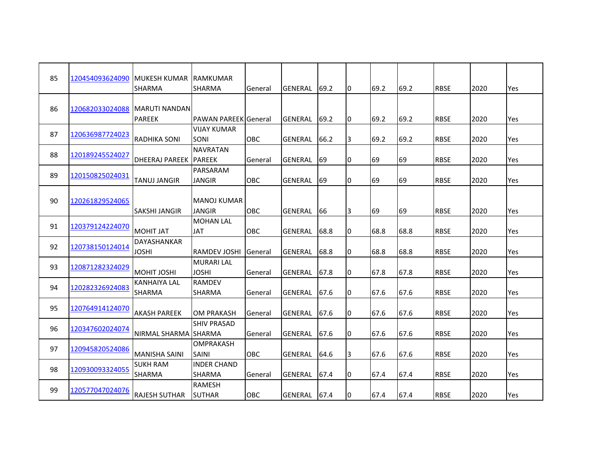| 85 | 120454093624090 | <b>MUKESH KUMAR</b><br><b>SHARMA</b>  | <b>RAMKUMAR</b><br><b>SHARMA</b>  | General    | GENERAL        | 69.2 | 0 | 69.2 | 69.2 | <b>RBSE</b> | 2020 | Yes |
|----|-----------------|---------------------------------------|-----------------------------------|------------|----------------|------|---|------|------|-------------|------|-----|
| 86 | 120682033024088 | <b>MARUTI NANDAN</b><br><b>PAREEK</b> | PAWAN PAREEK General              |            | <b>GENERAL</b> | 69.2 | 0 | 69.2 | 69.2 | <b>RBSE</b> | 2020 | Yes |
| 87 | 120636987724023 | <b>RADHIKA SONI</b>                   | <b>VIJAY KUMAR</b><br>SONI        | OBC        | GENERAL        | 66.2 | 3 | 69.2 | 69.2 | <b>RBSE</b> | 2020 | Yes |
| 88 | 120189245524027 | <b>DHEERAJ PAREEK</b>                 | <b>NAVRATAN</b><br><b>PAREEK</b>  | General    | GENERAL        | 69   | 0 | 69   | 69   | <b>RBSE</b> | 2020 | Yes |
| 89 | 120150825024031 | <b>TANUJ JANGIR</b>                   | PARSARAM<br>JANGIR                | OBC        | GENERAL        | 69   | 0 | 69   | 69   | <b>RBSE</b> | 2020 | Yes |
| 90 | 120261829524065 | <b>SAKSHI JANGIR</b>                  | MANOJ KUMAR<br><b>JANGIR</b>      | OBC        | <b>GENERAL</b> | 66   | 3 | 69   | 69   | <b>RBSE</b> | 2020 | Yes |
| 91 | 120379124224070 | <b>MOHIT JAT</b>                      | <b>MOHAN LAL</b><br><b>JAT</b>    | <b>OBC</b> | GENERAL        | 68.8 | 0 | 68.8 | 68.8 | <b>RBSE</b> | 2020 | Yes |
| 92 | 120738150124014 | <b>DAYASHANKAR</b><br><b>JOSHI</b>    | <b>RAMDEV JOSHI</b>               | General    | GENERAL        | 68.8 | 0 | 68.8 | 68.8 | <b>RBSE</b> | 2020 | Yes |
| 93 | 120871282324029 | <b>MOHIT JOSHI</b>                    | <b>MURARI LAL</b><br><b>JOSHI</b> | General    | <b>GENERAL</b> | 67.8 | 0 | 67.8 | 67.8 | <b>RBSE</b> | 2020 | Yes |
| 94 | 120282326924083 | <b>KANHAIYA LAL</b><br><b>SHARMA</b>  | <b>RAMDEV</b><br>SHARMA           | General    | GENERAL        | 67.6 | 0 | 67.6 | 67.6 | <b>RBSE</b> | 2020 | Yes |
| 95 | 120764914124070 | <b>AKASH PAREEK</b>                   | <b>OM PRAKASH</b>                 | General    | <b>GENERAL</b> | 67.6 | 0 | 67.6 | 67.6 | <b>RBSE</b> | 2020 | Yes |
| 96 | 120347602024074 | NIRMAL SHARMA SHARMA                  | <b>SHIV PRASAD</b>                | General    | GENERAL        | 67.6 | 0 | 67.6 | 67.6 | <b>RBSE</b> | 2020 | Yes |
| 97 | 120945820524086 | <b>MANISHA SAINI</b>                  | <b>OMPRAKASH</b><br>SAINI         | OBC        | GENERAL        | 64.6 | 3 | 67.6 | 67.6 | <b>RBSE</b> | 2020 | Yes |
| 98 | 120930093324055 | <b>SUKH RAM</b><br>SHARMA             | <b>INDER CHAND</b><br>SHARMA      | General    | GENERAL 67.4   |      | 0 | 67.4 | 67.4 | <b>RBSE</b> | 2020 | Yes |
| 99 | 120577047024076 | <b>RAJESH SUTHAR</b>                  | <b>RAMESH</b><br><b>SUTHAR</b>    | OBC        | GENERAL        | 67.4 | 0 | 67.4 | 67.4 | <b>RBSE</b> | 2020 | Yes |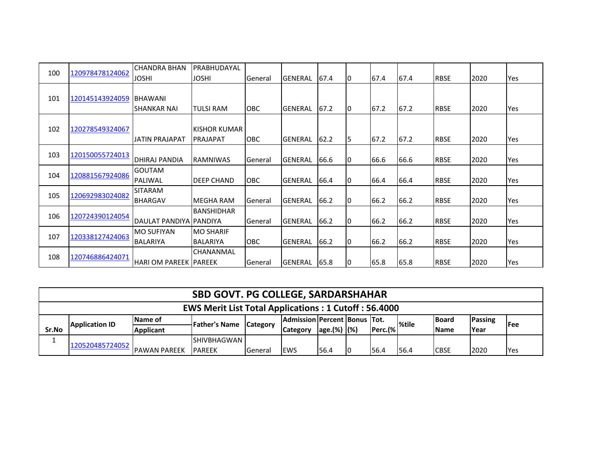|     |                 | <b>CHANDRA BHAN</b>     | <b>PRABHUDAYAL</b> |            |                |      |    |      |      |             |      |     |
|-----|-----------------|-------------------------|--------------------|------------|----------------|------|----|------|------|-------------|------|-----|
| 100 | 120978478124062 | <b>JOSHI</b>            | <b>JOSHI</b>       | General    | <b>GENERAL</b> | 67.4 | 10 | 67.4 | 67.4 | <b>RBSE</b> | 2020 | Yes |
|     |                 |                         |                    |            |                |      |    |      |      |             |      |     |
| 101 | 120145143924059 | <b>BHAWANI</b>          |                    |            |                |      |    |      |      |             |      |     |
|     |                 | <b>SHANKAR NAI</b>      | <b>TULSI RAM</b>   | <b>OBC</b> | <b>GENERAL</b> | 67.2 | 10 | 67.2 | 67.2 | <b>RBSE</b> | 2020 | Yes |
|     |                 |                         |                    |            |                |      |    |      |      |             |      |     |
| 102 | 120278549324067 |                         | IKISHOR KUMAR      |            |                |      |    |      |      |             |      |     |
|     |                 | JATIN PRAJAPAT          | <b>PRAJAPAT</b>    | <b>OBC</b> | <b>GENERAL</b> | 62.2 | I5 | 67.2 | 67.2 | <b>RBSE</b> | 2020 | Yes |
| 103 | 120150055724013 |                         |                    |            |                |      |    |      |      |             |      |     |
|     |                 | DHIRAJ PANDIA           | <b>RAMNIWAS</b>    | General    | <b>GENERAL</b> | 66.6 | 10 | 66.6 | 66.6 | <b>RBSE</b> | 2020 | Yes |
| 104 | 120881567924086 | <b>GOUTAM</b>           |                    |            |                |      |    |      |      |             |      |     |
|     |                 | PALIWAL                 | <b>DEEP CHAND</b>  | OBC        | GENERAL        | 66.4 | 10 | 66.4 | 66.4 | <b>RBSE</b> | 2020 | Yes |
| 105 | 120692983024082 | <b>SITARAM</b>          |                    |            |                |      |    |      |      |             |      |     |
|     |                 | <b>BHARGAV</b>          | <b>MEGHA RAM</b>   | General    | <b>GENERAL</b> | 66.2 | IО | 66.2 | 66.2 | <b>RBSE</b> | 2020 | Yes |
| 106 | 120724390124054 |                         | <b>BANSHIDHAR</b>  |            |                |      |    |      |      |             |      |     |
|     |                 | DAULAT PANDIYA PANDIYA  |                    | General    | <b>GENERAL</b> | 66.2 | 10 | 66.2 | 66.2 | <b>RBSE</b> | 2020 | Yes |
| 107 | 120338127424063 | <b>MO SUFIYAN</b>       | <b>MO SHARIF</b>   |            |                |      |    |      |      |             |      |     |
|     |                 | <b>BALARIYA</b>         | <b>BALARIYA</b>    | <b>OBC</b> | <b>GENERAL</b> | 66.2 | 10 | 66.2 | 66.2 | <b>RBSE</b> | 2020 | Yes |
|     |                 |                         | CHANANMAL          |            |                |      |    |      |      |             |      |     |
| 108 | 120746886424071 | IHARI OM PAREEK IPAREEK |                    | General    | GENERAL        | 65.8 | 10 | 65.8 | 65.8 | <b>RBSE</b> | 2020 | Yes |

|          |                                                             |                      | <b>SBD GOVT. PG COLLEGE, SARDARSHAHAR</b> |                 |                                     |                  |  |      |                                   |              |         |             |  |  |
|----------|-------------------------------------------------------------|----------------------|-------------------------------------------|-----------------|-------------------------------------|------------------|--|------|-----------------------------------|--------------|---------|-------------|--|--|
|          | <b>EWS Merit List Total Applications: 1 Cutoff: 56.4000</b> |                      |                                           |                 |                                     |                  |  |      |                                   |              |         |             |  |  |
|          | <b>Application ID</b>                                       | <b>Name of</b>       | <b>Father's Name</b>                      | <b>Category</b> | <b>Admission Percent Bonus Tot.</b> |                  |  |      |                                   | <b>Board</b> | Passing | <b>IFee</b> |  |  |
| Sr.No    |                                                             | <b>Applicant</b>     |                                           |                 | <b>Category</b>                     | $ age.(%)   (*)$ |  |      | $ {\sf perc.} \mathscr{C} $ %tile | <b>Name</b>  | Year    |             |  |  |
| <b>.</b> |                                                             |                      | <b>SHIVBHAGWAN</b>                        |                 |                                     |                  |  |      |                                   |              |         |             |  |  |
|          | 120520485724052                                             | <b>IPAWAN PAREEK</b> | <b>IPAREEK</b>                            | <b>General</b>  | lews                                | 56.4             |  | 56.4 | 56.4                              | <b>CBSE</b>  | 2020    | <b>Yes</b>  |  |  |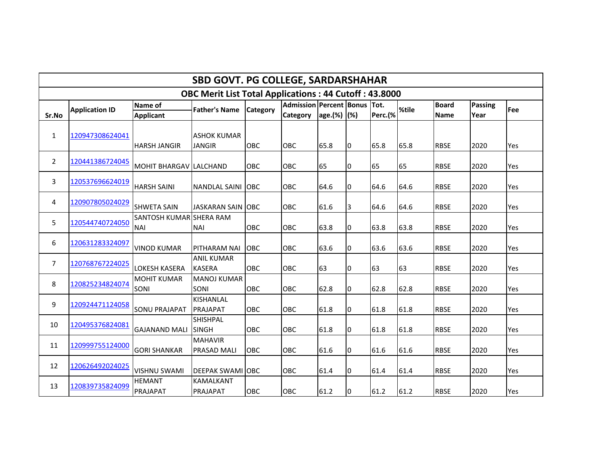|                | SBD GOVT. PG COLLEGE, SARDARSHAHAR |                                       |                                                              |            |                              |             |    |         |       |              |                |     |  |  |
|----------------|------------------------------------|---------------------------------------|--------------------------------------------------------------|------------|------------------------------|-------------|----|---------|-------|--------------|----------------|-----|--|--|
|                |                                    |                                       | <b>OBC Merit List Total Applications: 44 Cutoff: 43.8000</b> |            |                              |             |    |         |       |              |                |     |  |  |
|                | <b>Application ID</b>              | <b>Name of</b>                        | <b>Father's Name</b>                                         | Category   | Admission Percent Bonus Tot. |             |    |         | %tile | <b>Board</b> | <b>Passing</b> | Fee |  |  |
| Sr.No          |                                    | <b>Applicant</b>                      |                                                              |            | <b>Category</b>              | age.(%) (%) |    | Perc.(% |       | <b>Name</b>  | Year           |     |  |  |
| 1              | 120947308624041                    | <b>HARSH JANGIR</b>                   | <b>ASHOK KUMAR</b><br><b>JANGIR</b>                          | OBC        | <b>OBC</b>                   | 65.8        | Iо | 65.8    | 65.8  | <b>RBSE</b>  | 2020           | Yes |  |  |
| $\overline{2}$ | 120441386724045                    | IMOHIT BHARGAV LLALCHAND              |                                                              | OBC        | OBC                          | 65          | Iо | 65      | 65    | <b>RBSE</b>  | 2020           | Yes |  |  |
| 3              | 120537696624019                    | <b>HARSH SAINI</b>                    | <b>NANDLAL SAINI</b>                                         | <b>OBC</b> | <b>OBC</b>                   | 64.6        | 0  | 64.6    | 64.6  | <b>RBSE</b>  | 2020           | Yes |  |  |
| 4              | 120907805024029                    | <b>SHWETA SAIN</b>                    | <b>JASKARAN SAIN OBC</b>                                     |            | <b>OBC</b>                   | 61.6        | 3  | 64.6    | 64.6  | <b>RBSE</b>  | 2020           | Yes |  |  |
| 5              | 120544740724050                    | SANTOSH KUMAR SHERA RAM<br><b>NAI</b> | <b>NAI</b>                                                   | OBC        | OBC                          | 63.8        | O  | 63.8    | 63.8  | <b>RBSE</b>  | 2020           | Yes |  |  |
| 6              | 120631283324097                    | <b>VINOD KUMAR</b>                    | <b>PITHARAM NAI</b>                                          | OBC        | <b>OBC</b>                   | 63.6        | O  | 63.6    | 63.6  | <b>RBSE</b>  | 2020           | Yes |  |  |
| 7              | 120768767224025                    | <b>LOKESH KASERA</b>                  | <b>ANIL KUMAR</b><br><b>KASERA</b>                           | <b>OBC</b> | <b>OBC</b>                   | 63          | 0  | 63      | 63    | <b>RBSE</b>  | 2020           | Yes |  |  |
| 8              | 120825234824074                    | <b>MOHIT KUMAR</b><br><b>SONI</b>     | <b>MANOJ KUMAR</b><br>SONI                                   | OBC        | OBC                          | 62.8        | 10 | 62.8    | 62.8  | <b>RBSE</b>  | 2020           | Yes |  |  |
| 9              | 120924471124058                    | <b>SONU PRAJAPAT</b>                  | <b>KISHANLAL</b><br>PRAJAPAT                                 | OBC        | <b>OBC</b>                   | 61.8        | I٥ | 61.8    | 61.8  | <b>RBSE</b>  | 2020           | Yes |  |  |
| 10             | 120495376824081                    | <b>GAJANAND MALI</b>                  | <b>SHISHPAL</b><br><b>SINGH</b>                              | OBC        | OBC                          | 61.8        | 10 | 61.8    | 61.8  | <b>RBSE</b>  | 2020           | Yes |  |  |
| 11             | 120999755124000                    | <b>GORI SHANKAR</b>                   | <b>MAHAVIR</b><br><b>PRASAD MALI</b>                         | OBC        | <b>OBC</b>                   | 61.6        | I٥ | 61.6    | 61.6  | <b>RBSE</b>  | 2020           | Yes |  |  |
| 12             | 120626492024025                    | <b>VISHNU SWAMI</b>                   | <b>DEEPAK SWAMI OBC</b>                                      |            | OBC                          | 61.4        | O  | 61.4    | 61.4  | <b>RBSE</b>  | 2020           | Yes |  |  |
| 13             | 120839735824099                    | <b>HEMANT</b><br>PRAJAPAT             | KAMALKANT<br>PRAJAPAT                                        | OBC        | OBC                          | 61.2        | 10 | 61.2    | 61.2  | <b>RBSE</b>  | 2020           | Yes |  |  |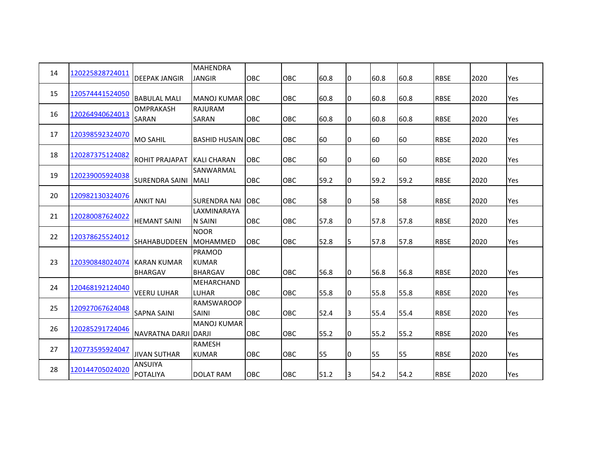| 14 | 120225828724011 | <b>DEEPAK JANGIR</b>                  | <b>MAHENDRA</b><br><b>JANGIR</b>         | OBC        | OBC        | 60.8 | 0  | 60.8 | 60.8 | <b>RBSE</b> | 2020 | Yes |
|----|-----------------|---------------------------------------|------------------------------------------|------------|------------|------|----|------|------|-------------|------|-----|
| 15 | 120574441524050 | <b>BABULAL MALI</b>                   | <b>MANOJ KUMAR OBC</b>                   |            | OBC        | 60.8 | 0  | 60.8 | 60.8 | <b>RBSE</b> | 2020 | Yes |
| 16 | 120264940624013 | OMPRAKASH<br>SARAN                    | <b>RAJURAM</b><br>SARAN                  | <b>OBC</b> | <b>OBC</b> | 60.8 | 0  | 60.8 | 60.8 | <b>RBSE</b> | 2020 | Yes |
| 17 | 120398592324070 | <b>MO SAHIL</b>                       | <b>BASHID HUSAIN OBC</b>                 |            | <b>OBC</b> | 60   | 0  | 60   | 60   | <b>RBSE</b> | 2020 | Yes |
| 18 | 120287375124082 | <b>ROHIT PRAJAPAT</b>                 | <b>KALI CHARAN</b>                       | OBC        | OBC        | 60   | 0  | 60   | 60   | <b>RBSE</b> | 2020 | Yes |
| 19 | 120239005924038 | <b>SURENDRA SAINI</b>                 | SANWARMAL<br><b>MALI</b>                 | OBC        | OBC        | 59.2 | 0  | 59.2 | 59.2 | <b>RBSE</b> | 2020 | Yes |
| 20 | 120982130324076 | <b>ANKIT NAI</b>                      | <b>SURENDRA NAI</b>                      | <b>OBC</b> | OBC        | 58   | 0  | 58   | 58   | <b>RBSE</b> | 2020 | Yes |
| 21 | 120280087624022 | <b>HEMANT SAINI</b>                   | LAXMINARAYA<br>N SAINI                   | <b>OBC</b> | <b>OBC</b> | 57.8 | 0  | 57.8 | 57.8 | <b>RBSE</b> | 2020 | Yes |
| 22 | 120378625524012 | <b>SHAHABUDDEEN</b>                   | <b>NOOR</b><br><b>MOHAMMED</b>           | <b>OBC</b> | OBC        | 52.8 | 5  | 57.8 | 57.8 | <b>RBSE</b> | 2020 | Yes |
| 23 | 120390848024074 | <b>IKARAN KUMAR</b><br><b>BHARGAV</b> | PRAMOD<br><b>KUMAR</b><br><b>BHARGAV</b> | <b>OBC</b> | <b>OBC</b> | 56.8 | I0 | 56.8 | 56.8 | <b>RBSE</b> | 2020 | Yes |
| 24 | 120468192124040 | <b>VEERU LUHAR</b>                    | <b>MEHARCHAND</b><br><b>LUHAR</b>        | OBC        | <b>OBC</b> | 55.8 | 0  | 55.8 | 55.8 | <b>RBSE</b> | 2020 | Yes |
| 25 | 120927067624048 | <b>SAPNA SAINI</b>                    | <b>RAMSWAROOP</b><br><b>SAINI</b>        | OBC        | OBC        | 52.4 | 3  | 55.4 | 55.4 | <b>RBSE</b> | 2020 | Yes |
| 26 | 120285291724046 | NAVRATNA DARJI DARJI                  | <b>MANOJ KUMAR</b>                       | OBC        | OBC        | 55.2 | 0  | 55.2 | 55.2 | <b>RBSE</b> | 2020 | Yes |
| 27 | 120773595924047 | <b>JIVAN SUTHAR</b>                   | <b>RAMESH</b><br><b>KUMAR</b>            | OBC        | OBC        | 55   | 0  | 55   | 55   | <b>RBSE</b> | 2020 | Yes |
| 28 | 120144705024020 | <b>ANSUIYA</b><br>POTALIYA            | <b>DOLAT RAM</b>                         | OBC        | OBC        | 51.2 | 3  | 54.2 | 54.2 | <b>RBSE</b> | 2020 | Yes |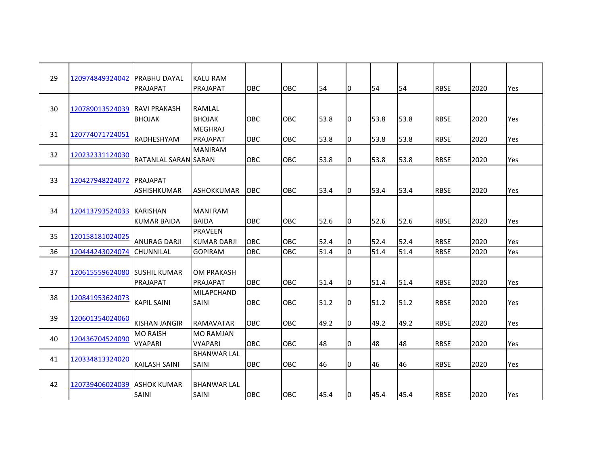| 29 | 120974849324042 | PRABHU DAYAL         | KALU RAM           |            |            |      |   |      |      |             |      |     |
|----|-----------------|----------------------|--------------------|------------|------------|------|---|------|------|-------------|------|-----|
|    |                 | PRAJAPAT             | PRAJAPAT           | <b>OBC</b> | OBC        | 54   | 0 | 54   | 54   | <b>RBSE</b> | 2020 | Yes |
|    |                 |                      |                    |            |            |      |   |      |      |             |      |     |
| 30 | 120789013524039 | <b>RAVI PRAKASH</b>  | RAMLAL             |            |            |      |   |      |      |             |      |     |
|    |                 | <b>BHOJAK</b>        | <b>BHOJAK</b>      | OBC        | OBC        | 53.8 | 0 | 53.8 | 53.8 | <b>RBSE</b> | 2020 | Yes |
| 31 | 120774071724051 |                      | <b>MEGHRAJ</b>     |            |            |      |   |      |      |             |      |     |
|    |                 | RADHESHYAM           | PRAJAPAT           | OBC        | OBC        | 53.8 | 0 | 53.8 | 53.8 | <b>RBSE</b> | 2020 | Yes |
|    |                 |                      | <b>MANIRAM</b>     |            |            |      |   |      |      |             |      |     |
| 32 | 120232331124030 | RATANLAL SARAN SARAN |                    | <b>OBC</b> | OBC        | 53.8 | 0 | 53.8 | 53.8 | <b>RBSE</b> | 2020 | Yes |
|    |                 |                      |                    |            |            |      |   |      |      |             |      |     |
| 33 | 120427948224072 | PRAJAPAT             |                    |            |            |      |   |      |      |             |      |     |
|    |                 | ASHISHKUMAR          | <b>ASHOKKUMAR</b>  | <b>OBC</b> | <b>OBC</b> | 53.4 | 0 | 53.4 | 53.4 | <b>RBSE</b> | 2020 | Yes |
|    |                 |                      |                    |            |            |      |   |      |      |             |      |     |
| 34 | 120413793524033 | <b>KARISHAN</b>      | <b>MANI RAM</b>    |            |            |      |   |      |      |             |      |     |
|    |                 | KUMAR BAIDA          | <b>BAIDA</b>       | OBC        | OBC        | 52.6 | 0 | 52.6 | 52.6 | <b>RBSE</b> | 2020 | Yes |
|    |                 |                      | <b>PRAVEEN</b>     |            |            |      |   |      |      |             |      |     |
| 35 | 120158181024025 | <b>ANURAG DARJI</b>  | <b>KUMAR DARJI</b> | OBC        | OBC        | 52.4 | 0 | 52.4 | 52.4 | <b>RBSE</b> | 2020 | Yes |
| 36 | 120444243024074 | <b>CHUNNILAL</b>     | <b>GOPIRAM</b>     | OBC        | OBC        | 51.4 | 0 | 51.4 | 51.4 | <b>RBSE</b> | 2020 | Yes |
|    |                 |                      |                    |            |            |      |   |      |      |             |      |     |
| 37 | 120615559624080 | <b>SUSHIL KUMAR</b>  | OM PRAKASH         |            |            |      |   |      |      |             |      |     |
|    |                 | PRAJAPAT             | PRAJAPAT           | OBC        | OBC        | 51.4 | O | 51.4 | 51.4 | <b>RBSE</b> | 2020 | Yes |
|    |                 |                      | <b>MILAPCHAND</b>  |            |            |      |   |      |      |             |      |     |
| 38 | 120841953624073 | <b>KAPIL SAINI</b>   | SAINI              | OBC        | OBC        | 51.2 | 0 | 51.2 | 51.2 | <b>RBSE</b> | 2020 | Yes |
|    |                 |                      |                    |            |            |      |   |      |      |             |      |     |
| 39 | 120601354024060 | <b>KISHAN JANGIR</b> | <b>RAMAVATAR</b>   | OBC        | OBC        | 49.2 | 0 | 49.2 | 49.2 | <b>RBSE</b> | 2020 | Yes |
|    |                 | <b>MO RAISH</b>      | <b>MO RAMJAN</b>   |            |            |      |   |      |      |             |      |     |
| 40 | 120436704524090 | <b>VYAPARI</b>       | <b>VYAPARI</b>     | OBC        | OBC        | 48   | 0 | 48   | 48   | <b>RBSE</b> | 2020 | Yes |
|    |                 |                      | <b>BHANWAR LAL</b> |            |            |      |   |      |      |             |      |     |
| 41 | 120334813324020 |                      |                    |            |            |      |   | 46   | 46   |             |      |     |
|    |                 | <b>KAILASH SAINI</b> | <b>SAINI</b>       | OBC        | OBC        | 46   | 0 |      |      | <b>RBSE</b> | 2020 | Yes |
|    |                 |                      |                    |            |            |      |   |      |      |             |      |     |
| 42 | 120739406024039 | <b>ASHOK KUMAR</b>   | <b>BHANWAR LAL</b> |            |            |      |   |      |      |             |      |     |
|    |                 | SAINI                | SAINI              | OBC        | OBC        | 45.4 | 0 | 45.4 | 45.4 | <b>RBSE</b> | 2020 | Yes |